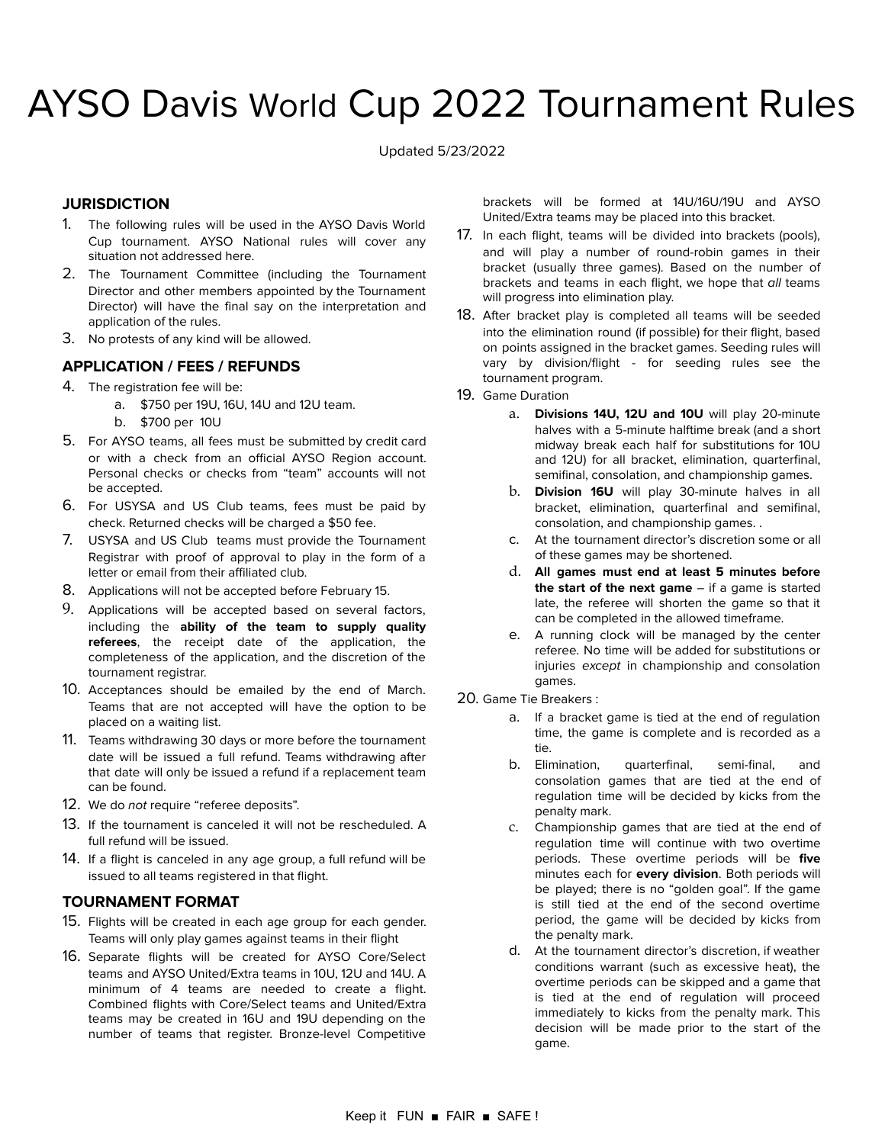# AYSO Davis World Cup 2022 Tournament Rules

Updated 5/23/2022

# **JURISDICTION**

- 1. The following rules will be used in the AYSO Davis World Cup tournament. AYSO National rules will cover any situation not addressed here.
- 2. The Tournament Committee (including the Tournament Director and other members appointed by the Tournament Director) will have the final say on the interpretation and application of the rules.
- 3. No protests of any kind will be allowed.

## **APPLICATION / FEES / REFUNDS**

- 4. The registration fee will be:
	- a. \$750 per 19U, 16U, 14U and 12U team.
	- b. \$700 per 10U
- 5. For AYSO teams, all fees must be submitted by credit card or with a check from an official AYSO Region account. Personal checks or checks from "team" accounts will not be accepted.
- 6. For USYSA and US Club teams, fees must be paid by check. Returned checks will be charged a \$50 fee.
- 7. USYSA and US Club teams must provide the Tournament Registrar with proof of approval to play in the form of a letter or email from their affiliated club.
- 8. Applications will not be accepted before February 15.
- 9. Applications will be accepted based on several factors, including the **ability of the team to supply quality referees**, the receipt date of the application, the completeness of the application, and the discretion of the tournament registrar.
- 10. Acceptances should be emailed by the end of March. Teams that are not accepted will have the option to be placed on a waiting list.
- 11. Teams withdrawing 30 days or more before the tournament date will be issued a full refund. Teams withdrawing after that date will only be issued a refund if a replacement team can be found.
- 12. We do not require "referee deposits".
- 13. If the tournament is canceled it will not be rescheduled. A full refund will be issued.
- 14. If a flight is canceled in any age group, a full refund will be issued to all teams registered in that flight.

## **TOURNAMENT FORMAT**

- 15. Flights will be created in each age group for each gender. Teams will only play games against teams in their flight
- 16. Separate flights will be created for AYSO Core/Select teams and AYSO United/Extra teams in 10U, 12U and 14U. A minimum of 4 teams are needed to create a flight. Combined flights with Core/Select teams and United/Extra teams may be created in 16U and 19U depending on the number of teams that register. Bronze-level Competitive

brackets will be formed at 14U/16U/19U and AYSO United/Extra teams may be placed into this bracket.

- 17. In each flight, teams will be divided into brackets (pools), and will play a number of round-robin games in their bracket (usually three games). Based on the number of brackets and teams in each flight, we hope that all teams will progress into elimination play.
- 18. After bracket play is completed all teams will be seeded into the elimination round (if possible) for their flight, based on points assigned in the bracket games. Seeding rules will vary by division/flight - for seeding rules see the tournament program.
- 19. Game Duration
	- a. **Divisions 14U, 12U and 10U** will play 20-minute halves with a 5-minute halftime break (and a short midway break each half for substitutions for 10U and 12U) for all bracket, elimination, quarterfinal, semifinal, consolation, and championship games.
	- b. **Division 16U** will play 30-minute halves in all bracket, elimination, quarterfinal and semifinal, consolation, and championship games. .
	- c. At the tournament director's discretion some or all of these games may be shortened.
	- d. **All games must end at least 5 minutes before the start of the next game** – if a game is started late, the referee will shorten the game so that it can be completed in the allowed timeframe.
	- e. A running clock will be managed by the center referee. No time will be added for substitutions or injuries except in championship and consolation games.
- 20. Game Tie Breakers :
	- a. If a bracket game is tied at the end of regulation time, the game is complete and is recorded as a tie.
	- b. Elimination, quarterfinal, semi-final, and consolation games that are tied at the end of regulation time will be decided by kicks from the penalty mark.
	- c. Championship games that are tied at the end of regulation time will continue with two overtime periods. These overtime periods will be **five** minutes each for **every division**. Both periods will be played; there is no "golden goal". If the game is still tied at the end of the second overtime period, the game will be decided by kicks from the penalty mark.
	- d. At the tournament director's discretion, if weather conditions warrant (such as excessive heat), the overtime periods can be skipped and a game that is tied at the end of regulation will proceed immediately to kicks from the penalty mark. This decision will be made prior to the start of the game.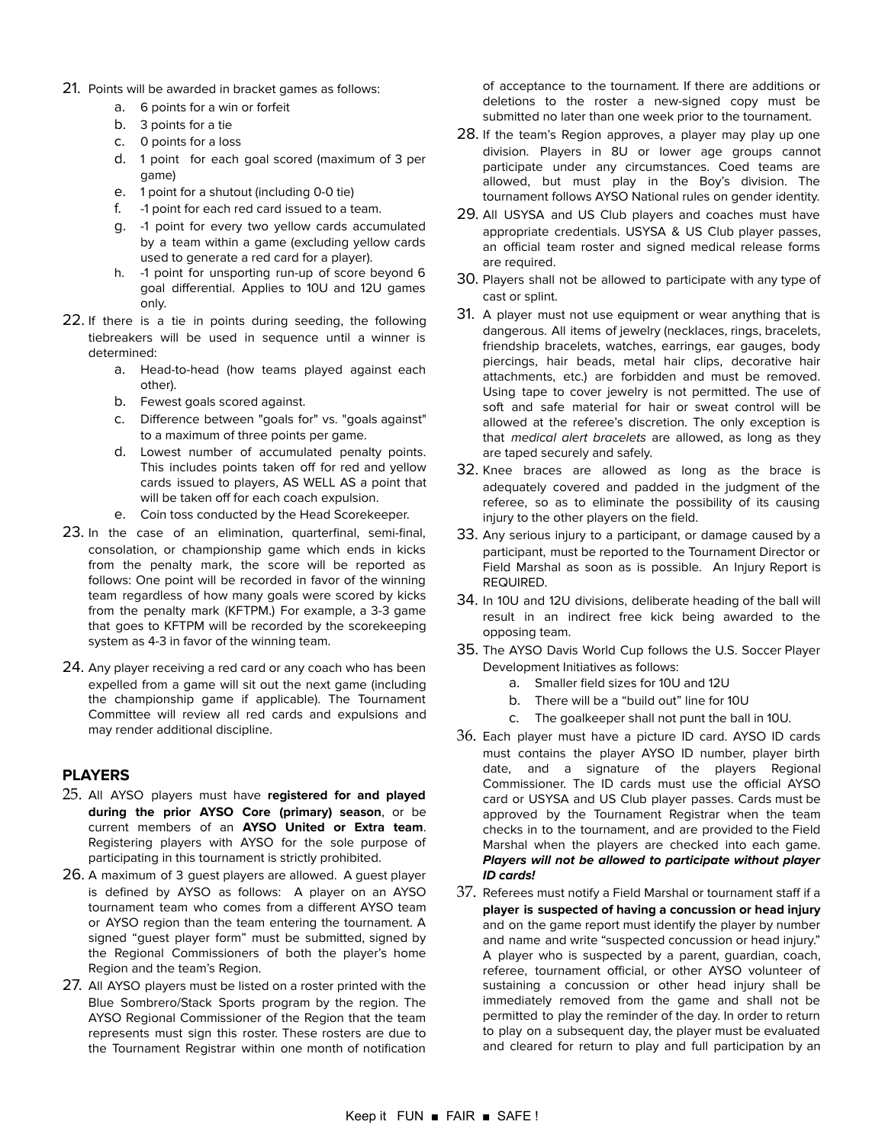- 21. Points will be awarded in bracket games as follows:
	- a. 6 points for a win or forfeit
	- b. 3 points for a tie
	- c. 0 points for a loss
	- d. 1 point for each goal scored (maximum of 3 per game)
	- e. 1 point for a shutout (including 0-0 tie)
	- f. -1 point for each red card issued to a team.
	- g. -1 point for every two yellow cards accumulated by a team within a game (excluding yellow cards used to generate a red card for a player).
	- h. -1 point for unsporting run-up of score beyond 6 goal differential. Applies to 10U and 12U games only.
- 22. If there is a tie in points during seeding, the following tiebreakers will be used in sequence until a winner is determined:
	- a. Head-to-head (how teams played against each other).
	- b. Fewest goals scored against.
	- c. Difference between "goals for" vs. "goals against" to a maximum of three points per game.
	- d. Lowest number of accumulated penalty points. This includes points taken off for red and yellow cards issued to players, AS WELL AS a point that will be taken off for each coach expulsion.
	- e. Coin toss conducted by the Head Scorekeeper.
- 23. In the case of an elimination, quarterfinal, semi-final, consolation, or championship game which ends in kicks from the penalty mark, the score will be reported as follows: One point will be recorded in favor of the winning team regardless of how many goals were scored by kicks from the penalty mark (KFTPM.) For example, a 3-3 game that goes to KFTPM will be recorded by the scorekeeping system as 4-3 in favor of the winning team.
- 24. Any player receiving a red card or any coach who has been expelled from a game will sit out the next game (including the championship game if applicable). The Tournament Committee will review all red cards and expulsions and may render additional discipline.

## **PLAYERS**

- 25. All AYSO players must have **registered for and played during the prior AYSO Core (primary) season**, or be current members of an **AYSO United or Extra team**. Registering players with AYSO for the sole purpose of participating in this tournament is strictly prohibited.
- 26. A maximum of 3 guest players are allowed. A guest player is defined by AYSO as follows: A player on an AYSO tournament team who comes from a different AYSO team or AYSO region than the team entering the tournament. A signed "guest player form" must be submitted, signed by the Regional Commissioners of both the player's home Region and the team's Region.
- 27. All AYSO players must be listed on a roster printed with the Blue Sombrero/Stack Sports program by the region. The AYSO Regional Commissioner of the Region that the team represents must sign this roster. These rosters are due to the Tournament Registrar within one month of notification

of acceptance to the tournament. If there are additions or deletions to the roster a new-signed copy must be submitted no later than one week prior to the tournament.

- 28. If the team's Region approves, a player may play up one division. Players in 8U or lower age groups cannot participate under any circumstances. Coed teams are allowed, but must play in the Boy's division. The tournament follows AYSO National rules on gender identity.
- 29. All USYSA and US Club players and coaches must have appropriate credentials. USYSA & US Club player passes, an official team roster and signed medical release forms are required.
- 30. Players shall not be allowed to participate with any type of cast or splint.
- 31. A player must not use equipment or wear anything that is dangerous. All items of jewelry (necklaces, rings, bracelets, friendship bracelets, watches, earrings, ear gauges, body piercings, hair beads, metal hair clips, decorative hair attachments, etc.) are forbidden and must be removed. Using tape to cover jewelry is not permitted. The use of soft and safe material for hair or sweat control will be allowed at the referee's discretion. The only exception is that medical alert bracelets are allowed, as long as they are taped securely and safely.
- 32. Knee braces are allowed as long as the brace is adequately covered and padded in the judgment of the referee, so as to eliminate the possibility of its causing injury to the other players on the field.
- 33. Any serious injury to a participant, or damage caused by a participant, must be reported to the Tournament Director or Field Marshal as soon as is possible. An Injury Report is REQUIRED.
- 34. In 10U and 12U divisions, deliberate heading of the ball will result in an indirect free kick being awarded to the opposing team.
- 35. The AYSO Davis World Cup follows the U.S. Soccer Player Development Initiatives as follows:
	- a. Smaller field sizes for 10U and 12U
	- b. There will be a "build out" line for 10U
	- c. The goalkeeper shall not punt the ball in 10U.
- 36. Each player must have a picture ID card. AYSO ID cards must contains the player AYSO ID number, player birth date, and a signature of the players Regional Commissioner. The ID cards must use the official AYSO card or USYSA and US Club player passes. Cards must be approved by the Tournament Registrar when the team checks in to the tournament, and are provided to the Field Marshal when the players are checked into each game. **Players will not be allowed to participate without player ID cards!**
- 37. Referees must notify a Field Marshal or tournament staff if a **player is suspected of having a concussion or head injury** and on the game report must identify the player by number and name and write "suspected concussion or head injury." A player who is suspected by a parent, guardian, coach, referee, tournament official, or other AYSO volunteer of sustaining a concussion or other head injury shall be immediately removed from the game and shall not be permitted to play the reminder of the day. In order to return to play on a subsequent day, the player must be evaluated and cleared for return to play and full participation by an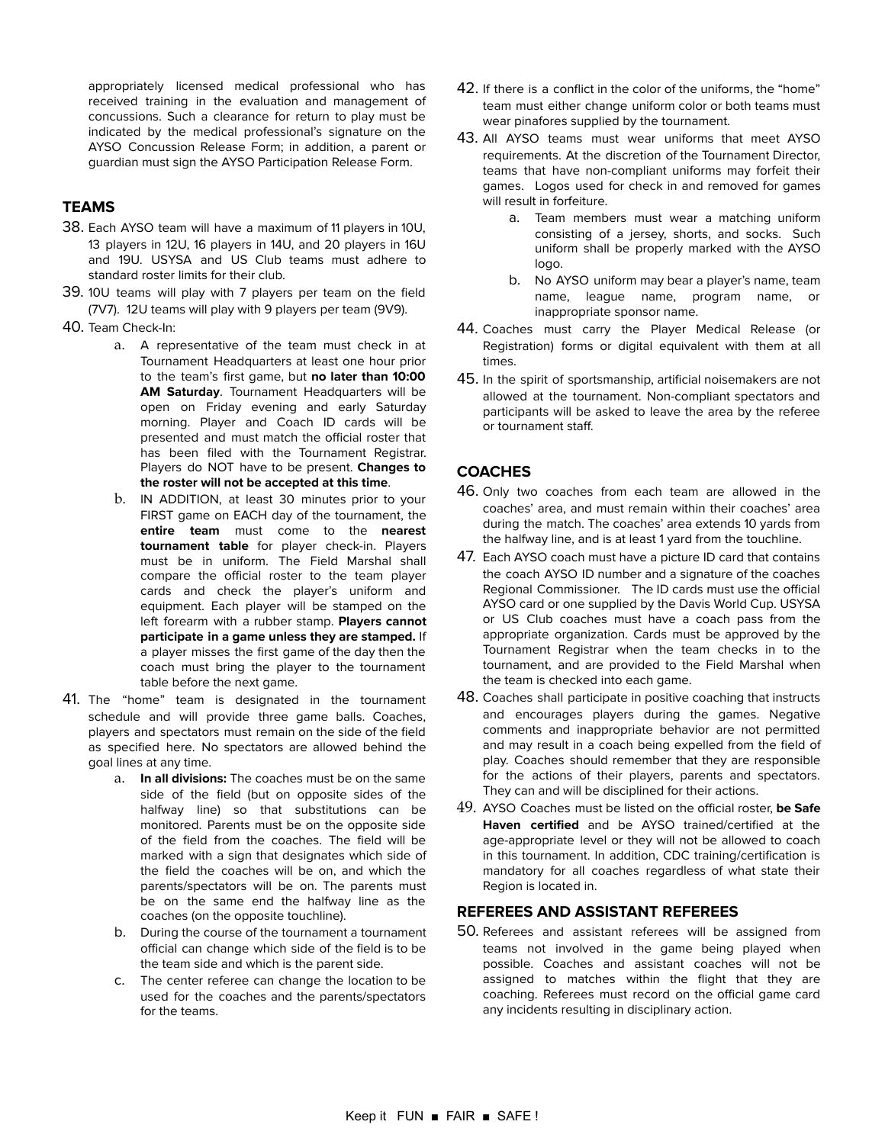appropriately licensed medical professional who has received training in the evaluation and management of concussions. Such a clearance for return to play must be indicated by the medical professional's signature on the AYSO Concussion Release Form; in addition, a parent or guardian must sign the AYSO Participation Release Form.

# **TEAMS**

- 38. Each AYSO team will have a maximum of 11 players in 10U, 13 players in 12U, 16 players in 14U, and 20 players in 16U and 19U. USYSA and US Club teams must adhere to standard roster limits for their club.
- 39. 10U teams will play with 7 players per team on the field (7V7). 12U teams will play with 9 players per team (9V9).
- 40. Team Check-In:
	- a. A representative of the team must check in at Tournament Headquarters at least one hour prior to the team's first game, but **no later than 10:00 AM Saturday**. Tournament Headquarters will be open on Friday evening and early Saturday morning. Player and Coach ID cards will be presented and must match the official roster that has been filed with the Tournament Registrar. Players do NOT have to be present. **Changes to the roster will not be accepted at this time**.
	- b. IN ADDITION, at least 30 minutes prior to your FIRST game on EACH day of the tournament, the **entire team** must come to the **nearest tournament table** for player check-in. Players must be in uniform. The Field Marshal shall compare the official roster to the team player cards and check the player's uniform and equipment. Each player will be stamped on the left forearm with a rubber stamp. **Players cannot participate in a game unless they are stamped.** If a player misses the first game of the day then the coach must bring the player to the tournament table before the next game.
- 41. The "home" team is designated in the tournament schedule and will provide three game balls. Coaches, players and spectators must remain on the side of the field as specified here. No spectators are allowed behind the goal lines at any time.
	- a. **In all divisions:** The coaches must be on the same side of the field (but on opposite sides of the halfway line) so that substitutions can be monitored. Parents must be on the opposite side of the field from the coaches. The field will be marked with a sign that designates which side of the field the coaches will be on, and which the parents/spectators will be on. The parents must be on the same end the halfway line as the coaches (on the opposite touchline).
	- b. During the course of the tournament a tournament official can change which side of the field is to be the team side and which is the parent side.
	- c. The center referee can change the location to be used for the coaches and the parents/spectators for the teams.
- 42. If there is a conflict in the color of the uniforms, the "home" team must either change uniform color or both teams must wear pinafores supplied by the tournament.
- 43. All AYSO teams must wear uniforms that meet AYSO requirements. At the discretion of the Tournament Director, teams that have non-compliant uniforms may forfeit their games. Logos used for check in and removed for games will result in forfeiture.
	- a. Team members must wear a matching uniform consisting of a jersey, shorts, and socks. Such uniform shall be properly marked with the AYSO logo.
	- b. No AYSO uniform may bear a player's name, team name, league name, program name, or inappropriate sponsor name.
- 44. Coaches must carry the Player Medical Release (or Registration) forms or digital equivalent with them at all times.
- 45. In the spirit of sportsmanship, artificial noisemakers are not allowed at the tournament. Non-compliant spectators and participants will be asked to leave the area by the referee or tournament staff.

#### **COACHES**

- 46. Only two coaches from each team are allowed in the coaches' area, and must remain within their coaches' area during the match. The coaches' area extends 10 yards from the halfway line, and is at least 1 yard from the touchline.
- 47. Each AYSO coach must have a picture ID card that contains the coach AYSO ID number and a signature of the coaches Regional Commissioner. The ID cards must use the official AYSO card or one supplied by the Davis World Cup. USYSA or US Club coaches must have a coach pass from the appropriate organization. Cards must be approved by the Tournament Registrar when the team checks in to the tournament, and are provided to the Field Marshal when the team is checked into each game.
- 48. Coaches shall participate in positive coaching that instructs and encourages players during the games. Negative comments and inappropriate behavior are not permitted and may result in a coach being expelled from the field of play. Coaches should remember that they are responsible for the actions of their players, parents and spectators. They can and will be disciplined for their actions.
- 49. AYSO Coaches must be listed on the official roster, **be Safe Haven certified** and be AYSO trained/certified at the age-appropriate level or they will not be allowed to coach in this tournament. In addition, CDC training/certification is mandatory for all coaches regardless of what state their Region is located in.

#### **REFEREES AND ASSISTANT REFEREES**

50. Referees and assistant referees will be assigned from teams not involved in the game being played when possible. Coaches and assistant coaches will not be assigned to matches within the flight that they are coaching. Referees must record on the official game card any incidents resulting in disciplinary action.